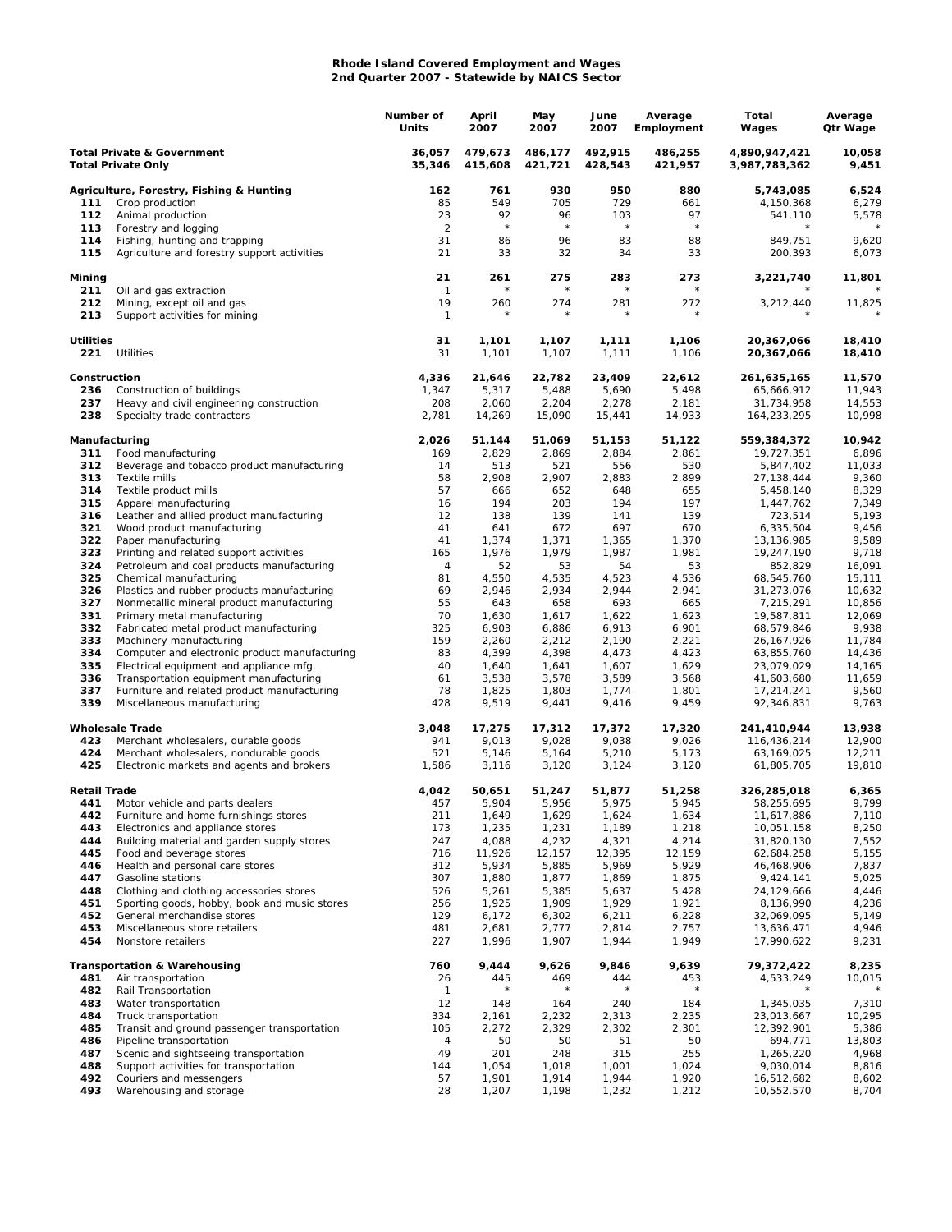## **Rhode Island Covered Employment and Wages 2nd Quarter 2007 - Statewide by NAICS Sector**

|                                                                    |                                                                                          | Number of<br>Units   | April<br>2007      | May<br>2007        | June<br>2007       | Average<br>Employment | Total<br>Wages                 | Average<br>Qtr Wage |
|--------------------------------------------------------------------|------------------------------------------------------------------------------------------|----------------------|--------------------|--------------------|--------------------|-----------------------|--------------------------------|---------------------|
| <b>Total Private &amp; Government</b><br><b>Total Private Only</b> |                                                                                          | 36,057<br>35,346     | 479,673<br>415,608 | 486,177<br>421,721 | 492,915<br>428,543 | 486,255<br>421,957    | 4,890,947,421<br>3,987,783,362 | 10,058<br>9,451     |
|                                                                    | Agriculture, Forestry, Fishing & Hunting                                                 | 162                  | 761                | 930                | 950                | 880                   | 5,743,085                      | 6,524               |
| 111                                                                | Crop production                                                                          | 85                   | 549                | 705                | 729                | 661                   | 4,150,368                      | 6,279               |
| 112                                                                | Animal production                                                                        | 23                   | 92<br>$\star$      | 96<br>$\star$      | 103<br>$\star$     | 97<br>$\star$         | 541,110<br>$\star$             | 5,578               |
| 113<br>114                                                         | Forestry and logging<br>Fishing, hunting and trapping                                    | $\overline{2}$<br>31 | 86                 | 96                 | 83                 | 88                    | 849,751                        | 9,620               |
| 115                                                                | Agriculture and forestry support activities                                              | 21                   | 33                 | 32                 | 34                 | 33                    | 200,393                        | 6,073               |
| Mining                                                             |                                                                                          | 21                   | 261                | 275                | 283                | 273                   | 3,221,740                      | 11,801              |
| 211<br>212                                                         | Oil and gas extraction<br>Mining, except oil and gas                                     | $\mathbf{1}$<br>19   | 260                | 274                | 281                | 272                   | 3,212,440                      | 11,825              |
| 213                                                                | Support activities for mining                                                            | $\mathbf{1}$         |                    |                    | $\star$            | $^{\star}$            |                                |                     |
| <b>Utilities</b><br>221                                            | Utilities                                                                                | 31<br>31             | 1,101<br>1,101     | 1,107<br>1,107     | 1,111<br>1,111     | 1,106<br>1,106        | 20,367,066<br>20,367,066       | 18,410<br>18,410    |
| Construction                                                       |                                                                                          | 4,336                | 21,646             | 22,782             | 23,409             | 22,612                | 261,635,165                    | 11,570              |
| 236                                                                | Construction of buildings                                                                | 1,347                | 5,317              | 5,488              | 5,690              | 5,498                 | 65,666,912                     | 11,943              |
| 237                                                                | Heavy and civil engineering construction                                                 | 208                  | 2,060              | 2,204              | 2,278              | 2,181                 | 31,734,958                     | 14,553              |
| 238                                                                | Specialty trade contractors                                                              | 2,781                | 14,269             | 15,090             | 15,441             | 14,933                | 164,233,295                    | 10,998              |
| Manufacturing                                                      |                                                                                          | 2,026                | 51,144             | 51,069             | 51,153             | 51,122                | 559,384,372                    | 10,942              |
| 311<br>312                                                         | Food manufacturing                                                                       | 169<br>14            | 2,829<br>513       | 2,869              | 2,884              | 2,861<br>530          | 19,727,351                     | 6,896<br>11,033     |
| 313                                                                | Beverage and tobacco product manufacturing<br>Textile mills                              | 58                   | 2,908              | 521<br>2,907       | 556<br>2,883       | 2,899                 | 5,847,402<br>27,138,444        | 9,360               |
| 314                                                                | Textile product mills                                                                    | 57                   | 666                | 652                | 648                | 655                   | 5,458,140                      | 8,329               |
| 315                                                                | Apparel manufacturing                                                                    | 16                   | 194                | 203                | 194                | 197                   | 1,447,762                      | 7,349               |
| 316                                                                | Leather and allied product manufacturing                                                 | 12                   | 138                | 139                | 141                | 139                   | 723,514                        | 5,193               |
| 321                                                                | Wood product manufacturing                                                               | 41                   | 641                | 672                | 697                | 670                   | 6,335,504                      | 9,456               |
| 322                                                                | Paper manufacturing                                                                      | 41                   | 1,374              | 1,371              | 1,365              | 1,370                 | 13,136,985                     | 9,589               |
| 323                                                                | Printing and related support activities                                                  | 165                  | 1,976              | 1,979              | 1,987              | 1,981                 | 19,247,190                     | 9,718               |
| 324<br>325                                                         | Petroleum and coal products manufacturing<br>Chemical manufacturing                      | 4<br>81              | 52<br>4,550        | 53<br>4,535        | 54<br>4,523        | 53<br>4,536           | 852,829<br>68,545,760          | 16,091<br>15,111    |
| 326                                                                | Plastics and rubber products manufacturing                                               | 69                   | 2,946              | 2,934              | 2,944              | 2,941                 | 31,273,076                     | 10,632              |
| 327                                                                | Nonmetallic mineral product manufacturing                                                | 55                   | 643                | 658                | 693                | 665                   | 7,215,291                      | 10,856              |
| 331                                                                | Primary metal manufacturing                                                              | 70                   | 1,630              | 1,617              | 1,622              | 1,623                 | 19,587,811                     | 12,069              |
| 332                                                                | Fabricated metal product manufacturing                                                   | 325                  | 6,903              | 6,886              | 6,913              | 6,901                 | 68,579,846                     | 9,938               |
| 333                                                                | Machinery manufacturing                                                                  | 159                  | 2,260              | 2,212              | 2,190              | 2,221                 | 26, 167, 926                   | 11,784              |
| 334                                                                | Computer and electronic product manufacturing                                            | 83                   | 4,399              | 4,398              | 4,473              | 4,423                 | 63,855,760                     | 14,436              |
| 335                                                                | Electrical equipment and appliance mfg.                                                  | 40                   | 1,640              | 1,641              | 1,607              | 1,629                 | 23,079,029                     | 14,165              |
| 336<br>337                                                         | Transportation equipment manufacturing<br>Furniture and related product manufacturing    | 61<br>78             | 3,538<br>1,825     | 3,578<br>1,803     | 3,589<br>1,774     | 3,568<br>1,801        | 41,603,680<br>17,214,241       | 11,659<br>9,560     |
| 339                                                                | Miscellaneous manufacturing                                                              | 428                  | 9,519              | 9,441              | 9,416              | 9,459                 | 92,346,831                     | 9,763               |
|                                                                    | <b>Wholesale Trade</b>                                                                   | 3,048                | 17,275             | 17,312             | 17,372             | 17,320                | 241,410,944                    | 13,938              |
| 423                                                                | Merchant wholesalers, durable goods                                                      | 941                  | 9,013              | 9,028              | 9,038              | 9,026                 | 116,436,214                    | 12,900              |
| 424                                                                | Merchant wholesalers, nondurable goods                                                   | 521                  | 5,146              | 5,164              | 5,210              | 5,173                 | 63,169,025                     | 12,211              |
| 425                                                                | Electronic markets and agents and brokers                                                | 1,586                | 3,116              | 3,120              | 3,124              | 3,120                 | 61,805,705                     | 19,810              |
| <b>Retail Trade</b><br>441                                         | Motor vehicle and parts dealers                                                          | 4,042<br>457         | 50,651<br>5,904    | 51,247<br>5,956    | 51,877<br>5,975    | 51,258<br>5,945       | 326,285,018<br>58,255,695      | 6,365<br>9,799      |
| 442                                                                | Furniture and home furnishings stores                                                    | 211                  | 1,649              | 1,629              | 1,624              | 1,634                 | 11,617,886                     | 7,110               |
| 443                                                                | Electronics and appliance stores                                                         | 173                  | 1,235              | 1,231              | 1,189              | 1,218                 | 10,051,158                     | 8,250               |
| 444                                                                | Building material and garden supply stores                                               | 247                  | 4,088              | 4,232              | 4,321              | 4,214                 | 31,820,130                     | 7,552               |
| 445                                                                | Food and beverage stores                                                                 | 716                  | 11,926             | 12,157             | 12,395             | 12,159                | 62,684,258                     | 5,155               |
| 446                                                                | Health and personal care stores                                                          | 312                  | 5,934              | 5,885              | 5,969              | 5,929                 | 46,468,906                     | 7,837               |
| 447                                                                | Gasoline stations                                                                        | 307                  | 1,880              | 1,877              | 1,869              | 1,875                 | 9,424,141                      | 5,025               |
| 448<br>451                                                         | Clothing and clothing accessories stores<br>Sporting goods, hobby, book and music stores | 526<br>256           | 5,261<br>1,925     | 5,385<br>1,909     | 5,637<br>1,929     | 5,428<br>1,921        | 24,129,666<br>8,136,990        | 4,446<br>4,236      |
| 452                                                                | General merchandise stores                                                               | 129                  | 6,172              | 6,302              | 6,211              | 6,228                 | 32,069,095                     | 5,149               |
| 453                                                                | Miscellaneous store retailers                                                            | 481                  | 2,681              | 2,777              | 2,814              | 2,757                 | 13,636,471                     | 4,946               |
| 454                                                                | Nonstore retailers                                                                       | 227                  | 1,996              | 1,907              | 1,944              | 1,949                 | 17,990,622                     | 9,231               |
|                                                                    | <b>Transportation &amp; Warehousing</b>                                                  | 760                  | 9,444              | 9,626              | 9,846              | 9,639                 | 79,372,422                     | 8,235               |
| 481                                                                | Air transportation                                                                       | 26                   | 445                | 469                | 444                | 453                   | 4,533,249                      | 10,015              |
| 482<br>483                                                         | Rail Transportation<br>Water transportation                                              | 1<br>12              | 148                | 164                | 240                | 184                   | 1,345,035                      | 7,310               |
| 484                                                                | Truck transportation                                                                     | 334                  | 2,161              | 2,232              | 2,313              | 2,235                 | 23,013,667                     | 10,295              |
| 485                                                                | Transit and ground passenger transportation                                              | 105                  | 2,272              | 2,329              | 2,302              | 2,301                 | 12,392,901                     | 5,386               |
| 486                                                                | Pipeline transportation                                                                  | 4                    | 50                 | 50                 | 51                 | 50                    | 694,771                        | 13,803              |
| 487                                                                | Scenic and sightseeing transportation                                                    | 49                   | 201                | 248                | 315                | 255                   | 1,265,220                      | 4,968               |
| 488                                                                | Support activities for transportation                                                    | 144                  | 1,054              | 1,018              | 1,001              | 1,024                 | 9,030,014                      | 8,816               |
| 492                                                                | Couriers and messengers                                                                  | 57                   | 1,901              | 1,914              | 1,944              | 1,920                 | 16,512,682                     | 8,602               |
| 493                                                                | Warehousing and storage                                                                  | 28                   | 1,207              | 1,198              | 1,232              | 1,212                 | 10,552,570                     | 8,704               |